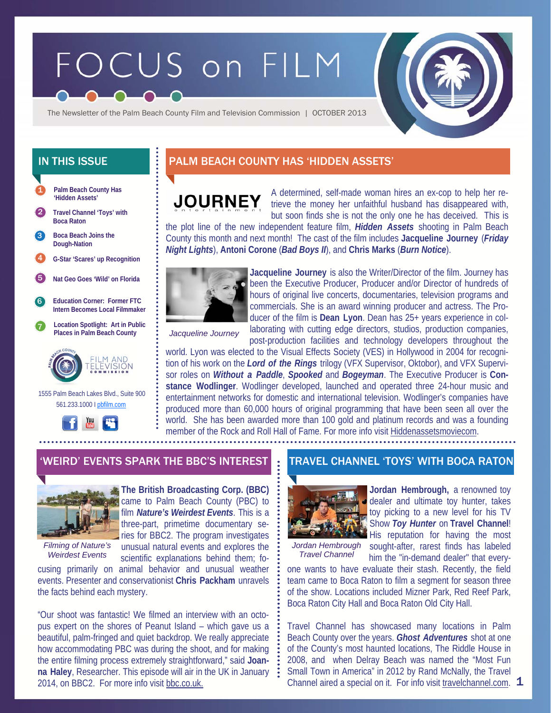# FOCUS on FILM



The Newsletter of the Palm Beach County Film and Television Commission | OCTOBER 2013

- **Palm Beach County Has 'Hidden Assets'**  1
- 2 **Travel Channel 'Toys' with Boca Raton**
- **Boca Beach Joins the Dough-Nation**  3
- 4 **G-Star 'Scares' up Recognition**

5 **Nat Geo Goes 'Wild' on Florida** 

- 6 **Education Corner: Former FTC Intern Becomes Local Filmmaker**
- 7 **Location Spotlight: Art in Public Places in Palm Beach County**



 1555 Palm Beach Lakes Blvd., Suite 900 561.233.1000 I pbfilm.com



## IN THIS ISSUE **PALM BEACH COUNTY HAS 'HIDDEN ASSETS'**

## **JOURNEY**

A determined, self-made woman hires an ex-cop to help her retrieve the money her unfaithful husband has disappeared with, but soon finds she is not the only one he has deceived. This is

the plot line of the new independent feature film, *Hidden Assets* shooting in Palm Beach County this month and next month! The cast of the film includes **Jacqueline Journey** (*Friday Night Lights*), **Antoni Corone** (*Bad Boys II*), and **Chris Marks** (*Burn Notice*).



**Jacqueline Journey** is also the Writer/Director of the film. Journey has been the Executive Producer, Producer and/or Director of hundreds of hours of original live concerts, documentaries, television programs and commercials. She is an award winning producer and actress. The Producer of the film is **Dean Lyon**. Dean has 25+ years experience in collaborating with cutting edge directors, studios, production companies, post-production facilities and technology developers throughout the

*Jacqueline Journey* 

world. Lyon was elected to the Visual Effects Society (VES) in Hollywood in 2004 for recognition of his work on the *Lord of the Rings* trilogy (VFX Supervisor, Oktobor), and VFX Supervisor roles on *Without a Paddle*, *Spooked* and *Bogeyman*. The Executive Producer is **Constance Wodlinger**. Wodlinger developed, launched and operated three 24-hour music and entertainment networks for domestic and international television. Wodlinger's companies have produced more than 60,000 hours of original programming that have been seen all over the world. She has been awarded more than 100 gold and platinum records and was a founding member of the Rock and Roll Hall of Fame. For more info visit Hiddenassetsmoviecom.



*Filming of Nature's Weirdest Events* 

**The British Broadcasting Corp. (BBC)**  came to Palm Beach County (PBC) to film *Nature's Weirdest Events*. This is a three-part, primetime documentary series for BBC2. The program investigates unusual natural events and explores the

scientific explanations behind them; focusing primarily on animal behavior and unusual weather events. Presenter and conservationist **Chris Packham** unravels the facts behind each mystery.

"Our shoot was fantastic! We filmed an interview with an octopus expert on the shores of Peanut Island – which gave us a beautiful, palm-fringed and quiet backdrop. We really appreciate how accommodating PBC was during the shoot, and for making the entire filming process extremely straightforward," said **Joanna Haley**, Researcher. This episode will air in the UK in January 2014, on BBC2. For more info visit bbc.co.uk.

## 'WEIRD' EVENTS SPARK THE BBC'S INTEREST THE TRAVEL CHANNEL 'TOYS' WITH BOCA RATON



**Jordan Hembrough,** a renowned toy dealer and ultimate toy hunter, takes toy picking to a new level for his TV Show *Toy Hunter* on **Travel Channel**!

*Travel Channel* 

His reputation for having the most Jordan Hembrough sought-after, rarest finds has labeled him the "in-demand dealer" that every-

one wants to have evaluate their stash. Recently, the field team came to Boca Raton to film a segment for season three of the show. Locations included Mizner Park, Red Reef Park, Boca Raton City Hall and Boca Raton Old City Hall.

Channel aired a special on it. For info visit travelchannel.com.  $1$ Travel Channel has showcased many locations in Palm Beach County over the years. *Ghost Adventures* shot at one of the County's most haunted locations, The Riddle House in 2008, and when Delray Beach was named the "Most Fun Small Town in America" in 2012 by Rand McNally, the Travel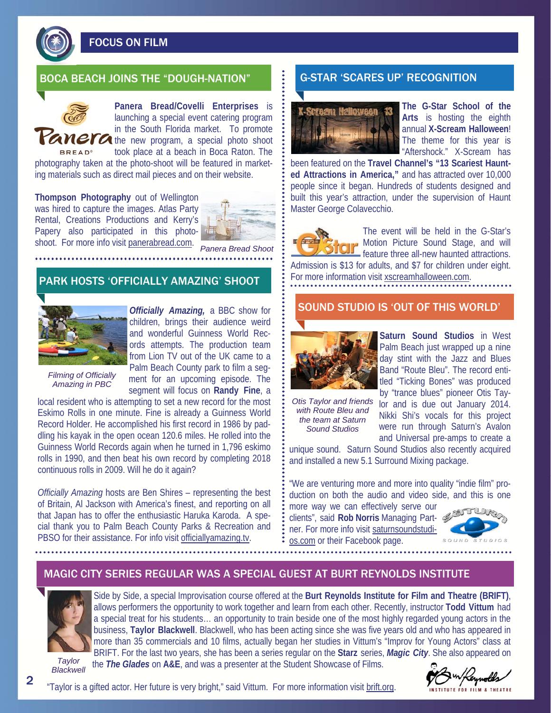

FOCUS ON FILM

#### BOCA BEACH JOINS THE "DOUGH-NATION" **G-STAR 'SCARES UP' RECOGNITION**

**Panera Bread/Covelli Enterprises** is launching a special event catering program in the South Florida market. To promote **Tanera** the new program, a special photo shoot took place at a beach in Boca Raton. The

**BREAD®** photography taken at the photo-shoot will be featured in marketing materials such as direct mail pieces and on their website.

**Thompson Photography** out of Wellington was hired to capture the images. Atlas Party Rental, Creations Productions and Kerry's Papery also participated in this photoshoot. For more info visit panerabread.com.



*Panera Bread Shoot* 

PARK HOSTS 'OFFICIALLY AMAZING' SHOOT



*Officially Amazing,* a BBC show for children, brings their audience weird and wonderful Guinness World Records attempts. The production team from Lion TV out of the UK came to a Palm Beach County park to film a segment for an upcoming episode. The segment will focus on **Randy Fine**, a

*Filming of Officially Amazing in PBC* 

local resident who is attempting to set a new record for the most Eskimo Rolls in one minute. Fine is already a Guinness World Record Holder. He accomplished his first record in 1986 by paddling his kayak in the open ocean 120.6 miles. He rolled into the Guinness World Records again when he turned in 1,796 eskimo rolls in 1990, and then beat his own record by completing 2018 continuous rolls in 2009. Will he do it again?

*Officially Amazing* hosts are Ben Shires – representing the best of Britain, Al Jackson with America's finest, and reporting on all that Japan has to offer the enthusiastic Haruka Karoda. A special thank you to Palm Beach County Parks & Recreation and PBSO for their assistance. For info visit officiallyamazing.tv.



**The G-Star School of the Arts** is hosting the eighth annual **X-Scream Halloween**! The theme for this year is "Aftershock." X-Scream has

been featured on the **Travel Channel's "13 Scariest Haunted Attractions in America,"** and has attracted over 10,000 people since it began. Hundreds of students designed and built this year's attraction, under the supervision of Haunt Master George Colavecchio.



The event will be held in the G-Star's Motion Picture Sound Stage, and will feature three all-new haunted attractions. Admission is \$13 for adults, and \$7 for children under eight.

For more information visit xscreamhalloween.com.

#### SOUND STUDIO IS 'OUT OF THIS WORLD'



*Otis Taylor and friends with Route Bleu and the team at Saturn Sound Studios* 

**Saturn Sound Studios** in West Palm Beach just wrapped up a nine day stint with the Jazz and Blues Band "Route Bleu". The record entitled "Ticking Bones" was produced by "trance blues" pioneer Otis Tay-

lor and is due out January 2014. Nikki Shi's vocals for this project were run through Saturn's Avalon and Universal pre-amps to create a

unique sound. Saturn Sound Studios also recently acquired and installed a new 5.1 Surround Mixing package.

"We are venturing more and more into quality "indie film" production on both the audio and video side, and this is one

more way we can effectively serve our clients", said **Rob Norris** Managing Partner. For more info visit saturnsoundstudios.com or their Facebook page.



## MAGIC CITY SERIES REGULAR WAS A SPECIAL GUEST AT BURT REYNOLDS INSTITUTE



Side by Side, a special Improvisation course offered at the **Burt Reynolds Institute for Film and Theatre (BRIFT)**, allows performers the opportunity to work together and learn from each other. Recently, instructor **Todd Vittum** had a special treat for his students… an opportunity to train beside one of the most highly regarded young actors in the business, **Taylor Blackwell**. Blackwell, who has been acting since she was five years old and who has appeared in more than 35 commercials and 10 films, actually began her studies in Vittum's "Improv for Young Actors" class at BRIFT. For the last two years, she has been a series regular on the **Starz** series, *Magic City*. She also appeared on the *The Glades* on **A&E**, and was a presenter at the Student Showcase of Films.

*Taylor Blackwell* 

"Taylor is a gifted actor. Her future is very bright," said Vittum. For more information visit brift.org.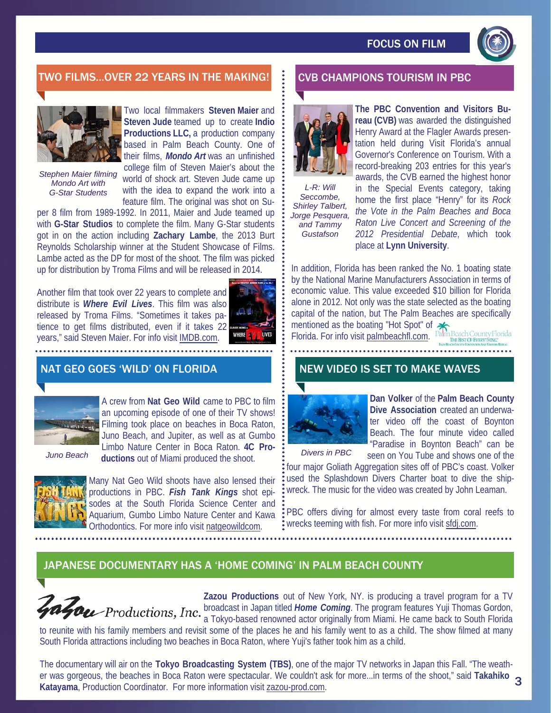

## TWO FILMS...OVER 22 YEARS IN THE MAKING! FOUR CHAMPIONS TOURISM IN PBC



Two local filmmakers **Steven Maier** and **Steven Jude** teamed up to create **Indio Productions LLC,** a production company based in Palm Beach County. One of their films, *Mondo Art* was an unfinished

*Stephen Maier filming Mondo Art with G-Star Students* 

college film of Steven Maier's about the world of shock art. Steven Jude came up with the idea to expand the work into a feature film. The original was shot on Su-

per 8 film from 1989-1992. In 2011, Maier and Jude teamed up with **G-Star Studios** to complete the film. Many G-Star students got in on the action including **Zachary Lambe**, the 2013 Burt Reynolds Scholarship winner at the Student Showcase of Films. Lambe acted as the DP for most of the shoot. The film was picked up for distribution by Troma Films and will be released in 2014.

Another film that took over 22 years to complete and distribute is *Where Evil Lives*. This film was also released by Troma Films. "Sometimes it takes patience to get films distributed, even if it takes 22 years," said Steven Maier. For info visit IMDB.com.



## NAT GEO GOES 'WILD' ON FLORIDA



A crew from **Nat Geo Wild** came to PBC to film an upcoming episode of one of their TV shows! Filming took place on beaches in Boca Raton, Juno Beach, and Jupiter, as well as at Gumbo Limbo Nature Center in Boca Raton. **4C Productions** out of Miami produced the shoot.<br> **Example 3** *Divers in PBC Divers in PBC* 



Many Nat Geo Wild shoots have also lensed their productions in PBC. *Fish Tank Kings* shot episodes at the South Florida Science Center and Aquarium, Gumbo Limbo Nature Center and Kawa Orthodontics. For more info visit natgeowildcom.



*L-R: Will Seccombe, Shirley Talbert, Jorge Pesquera, and Tammy Gustafson* 

**reau (CVB)** was awarded the distinguished Henry Award at the Flagler Awards presentation held during Visit Florida's annual Governor's Conference on Tourism. With a record-breaking 203 entries for this year's awards, the CVB earned the highest honor in the Special Events category, taking home the first place "Henry" for its *Rock the Vote in the Palm Beaches and Boca Raton Live Concert and Screening of the 2012 Presidential Debate*, which took place at **Lynn University**.

**The PBC Convention and Visitors Bu-**

In addition, Florida has been ranked the No. 1 boating state by the National Marine Manufacturers Association in terms of economic value. This value exceeded \$10 billion for Florida alone in 2012. Not only was the state selected as the boating capital of the nation, but The Palm Beaches are specifically mentioned as the boating "Hot Spot" of  $\bigotimes_{\text{nlm}}$  Beach County Florida

Florida. For info visit palmbeachfl.com.

## NEW VIDEO IS SET TO MAKE WAVES



**Dan Volker** of the **Palm Beach County Dive Association** created an underwater video off the coast of Boynton Beach. The four minute video called "Paradise in Boynton Beach" can be seen on You Tube and shows one of the

THE BEST OF EVERYTH

four major Goliath Aggregation sites off of PBC's coast. Volker used the Splashdown Divers Charter boat to dive the shipwreck. The music for the video was created by John Leaman.

PBC offers diving for almost every taste from coral reefs to wrecks teeming with fish. For more info visit sfdj.com.

## JAPANESE DOCUMENTARY HAS A 'HOME COMING' IN PALM BEACH COUNTY



**Zazou Productions** out of New York, NY. is producing a travel program for a TV **From Productions, Inc.** broadcast in Japan titled *Home Coming*. The program features Yuji Thomas Gordon, a Tokyo-based renowned actor originally from Miami. He came back to South Florida

to reunite with his family members and revisit some of the places he and his family went to as a child. The show filmed at many South Florida attractions including two beaches in Boca Raton, where Yuji's father took him as a child.

The documentary will air on the **Tokyo Broadcasting System (TBS)**, one of the major TV networks in Japan this Fall. "The weather was gorgeous, the beaches in Boca Raton were spectacular. We couldn't ask for more...in terms of the shoot," said **Takahiko**  3 **Katayama**, Production Coordinator. For more information visit zazou-prod.com.